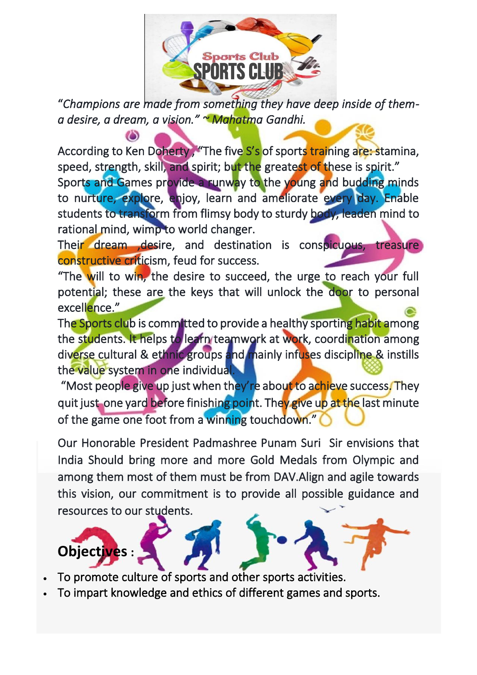

"*Champions are made from something they have deep inside of thema desire, a dream, a vision." ~ Mahatma Gandhi.*

(Ö)

According to Ken Doherty, "The five S's of sports training are: stamina, speed, strength, skill, and spirit; but the greatest of these is spirit." Sports and Games provide a runway to the young and budding minds to nurture, explore, enjoy, learn and ameliorate every day. Enable students to transform from flimsy body to sturdy body, leaden mind to rational mind, wimp to world changer.

Their dream ,desire, and destination is conspicuous, treasure constructive criticism, feud for success.

"The will to win, the desire to succeed, the urge to reach your full potential; these are the keys that will unlock the door to personal excellence."

The Sports club is committed to provide a healthy sporting habit among the students. It helps to learn teamwork at work, coordination among diverse cultural & ethnic groups and mainly infuses discipline & instills the value system in one individual.

"Most people give up just when they're about to achieve success. They quit just one yard before finishing point. They give up at the last minute of the game one foot from a winning touchdown."

Our Honorable President Padmashree Punam Suri Sir envisions that India Should bring more and more Gold Medals from Olympic and among them most of them must be from DAV.Align and agile towards this vision, our commitment is to provide all possible guidance and resources to our students.



- To promote culture of sports and other sports activities.
- To impart knowledge and ethics of different games and sports.